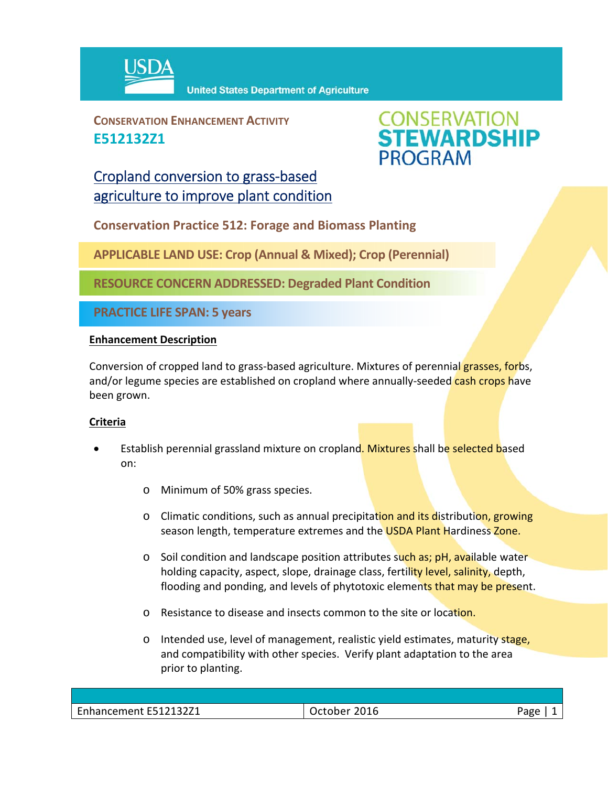

**CONSERVATION ENHANCEMENT ACTIVITY E512132Z1**



# Cropland conversion to grass‐based agriculture to improve plant condition

**Conservation Practice 512: Forage and Biomass Planting**

**APPLICABLE LAND USE: Crop (Annual & Mixed); Crop (Perennial)**

**RESOURCE CONCERN ADDRESSED: Degraded Plant Condition** 

**PRACTICE LIFE SPAN: 5 years**

## **Enhancement Description**

Conversion of cropped land to grass-based agriculture. Mixtures of perennial grasses, forbs, and/or legume species are established on cropland where annually-seeded cash crops have been grown.

## **Criteria**

- Establish perennial grassland mixture on cropland. Mixtures shall be selected based on:
	- o Minimum of 50% grass species.
	- o Climatic conditions, such as annual precipitation and its distribution, growing season length, temperature extremes and the USDA Plant Hardiness Zone.
	- $\circ$  Soil condition and landscape position attributes such as; pH, available water holding capacity, aspect, slope, drainage class, fertility level, salinity, depth, flooding and ponding, and levels of phytotoxic elements that may be present.
	- o Resistance to disease and insects common to the site or location.
	- $\circ$  Intended use, level of management, realistic yield estimates, maturity stage, and compatibility with other species. Verify plant adaptation to the area prior to planting.

| E512132Z1<br>$\overline{\phantom{0}}$<br>ement<br>a ne<br>uidille. | 2016<br>- -<br>יונ | ∩מבּ |
|--------------------------------------------------------------------|--------------------|------|
|                                                                    |                    |      |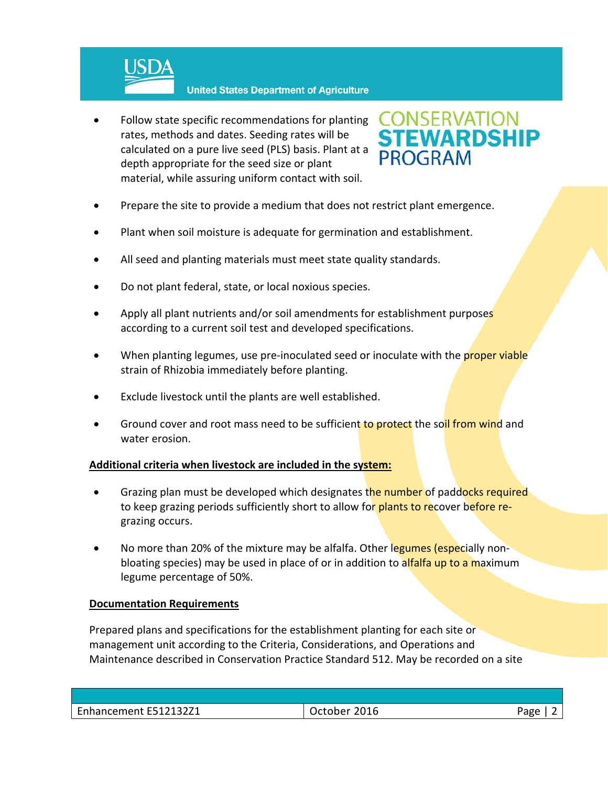

 Follow state specific recommendations for planting rates, methods and dates. Seeding rates will be calculated on a pure live seed (PLS) basis. Plant at a depth appropriate for the seed size or plant material, while assuring uniform contact with soil.



- Prepare the site to provide a medium that does not restrict plant emergence.
- Plant when soil moisture is adequate for germination and establishment.
- All seed and planting materials must meet state quality standards.
- Do not plant federal, state, or local noxious species.
- Apply all plant nutrients and/or soil amendments for establishment purposes according to a current soil test and developed specifications.
- When planting legumes, use pre-inoculated seed or inoculate with the proper viable strain of Rhizobia immediately before planting.
- Exclude livestock until the plants are well established.
- Ground cover and root mass need to be sufficient to protect the soil from wind and water erosion.

## **Additional criteria when livestock are included in the system:**

- Grazing plan must be developed which designates the number of paddocks required to keep grazing periods sufficiently short to allow for plants to recover before regrazing occurs.
- No more than 20% of the mixture may be alfalfa. Other legumes (especially nonbloating species) may be used in place of or in addition to alfalfa up to a maximum legume percentage of 50%.

## **Documentation Requirements**

Prepared plans and specifications for the establishment planting for each site or management unit according to the Criteria, Considerations, and Operations and Maintenance described in Conservation Practice Standard 512. May be recorded on a site

| E512132Z1<br>$\sim$<br>۔ محمد محمد محمد<br>. Enhancement E51 | 2016 | ാരമ<br>∽ວ |
|--------------------------------------------------------------|------|-----------|